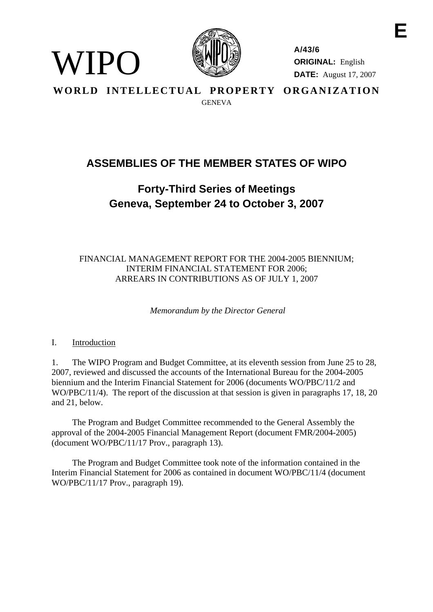

**A/43/6 ORIGINAL:** English **DATE:** August 17, 2007 **E** 

**WORLD INTELLECTUAL PROPERTY ORGANIZATION GENEVA** 

# **ASSEMBLIES OF THE MEMBER STATES OF WIPO**

# **Forty-Third Series of Meetings Geneva, September 24 to October 3, 2007**

FINANCIAL MANAGEMENT REPORT FOR THE 2004-2005 BIENNIUM; INTERIM FINANCIAL STATEMENT FOR 2006; ARREARS IN CONTRIBUTIONS AS OF JULY 1, 2007

 *Memorandum by the Director General* 

### I. Introduction

WIPO

1. The WIPO Program and Budget Committee, at its eleventh session from June 25 to 28, 2007, reviewed and discussed the accounts of the International Bureau for the 2004-2005 biennium and the Interim Financial Statement for 2006 (documents WO/PBC/11/2 and WO/PBC/11/4). The report of the discussion at that session is given in paragraphs 17, 18, 20 and 21, below.

 The Program and Budget Committee recommended to the General Assembly the approval of the 2004-2005 Financial Management Report (document FMR/2004-2005) (document WO/PBC/11/17 Prov., paragraph 13).

 The Program and Budget Committee took note of the information contained in the Interim Financial Statement for 2006 as contained in document WO/PBC/11/4 (document WO/PBC/11/17 Prov., paragraph 19).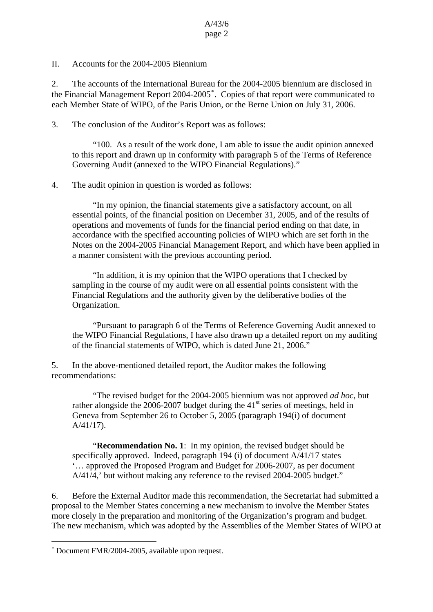### II. Accounts for the 2004-2005 Biennium

2. The accounts of the International Bureau for the 2004-2005 biennium are disclosed in the Financial Management Report 2004-2005[∗](#page-1-0) . Copies of that report were communicated to each Member State of WIPO, of the Paris Union, or the Berne Union on July 31, 2006.

3. The conclusion of the Auditor's Report was as follows:

 "100. As a result of the work done, I am able to issue the audit opinion annexed to this report and drawn up in conformity with paragraph 5 of the Terms of Reference Governing Audit (annexed to the WIPO Financial Regulations)."

### 4. The audit opinion in question is worded as follows:

 "In my opinion, the financial statements give a satisfactory account, on all essential points, of the financial position on December 31, 2005, and of the results of operations and movements of funds for the financial period ending on that date, in accordance with the specified accounting policies of WIPO which are set forth in the Notes on the 2004-2005 Financial Management Report, and which have been applied in a manner consistent with the previous accounting period.

 "In addition, it is my opinion that the WIPO operations that I checked by sampling in the course of my audit were on all essential points consistent with the Financial Regulations and the authority given by the deliberative bodies of the Organization.

 "Pursuant to paragraph 6 of the Terms of Reference Governing Audit annexed to the WIPO Financial Regulations, I have also drawn up a detailed report on my auditing of the financial statements of WIPO, which is dated June 21, 2006."

5. In the above-mentioned detailed report, the Auditor makes the following recommendations:

 "The revised budget for the 2004-2005 biennium was not approved *ad hoc*, but rather alongside the 2006-2007 budget during the  $41<sup>st</sup>$  series of meetings, held in Geneva from September 26 to October 5, 2005 (paragraph 194(i) of document A/41/17).

 "**Recommendation No. 1**: In my opinion, the revised budget should be specifically approved. Indeed, paragraph 194 (i) of document A/41/17 states '… approved the Proposed Program and Budget for 2006-2007, as per document A/41/4,' but without making any reference to the revised 2004-2005 budget."

6. Before the External Auditor made this recommendation, the Secretariat had submitted a proposal to the Member States concerning a new mechanism to involve the Member States more closely in the preparation and monitoring of the Organization's program and budget. The new mechanism, which was adopted by the Assemblies of the Member States of WIPO at

 $\overline{a}$ 

<span id="page-1-0"></span><sup>∗</sup> Document FMR/2004-2005, available upon request.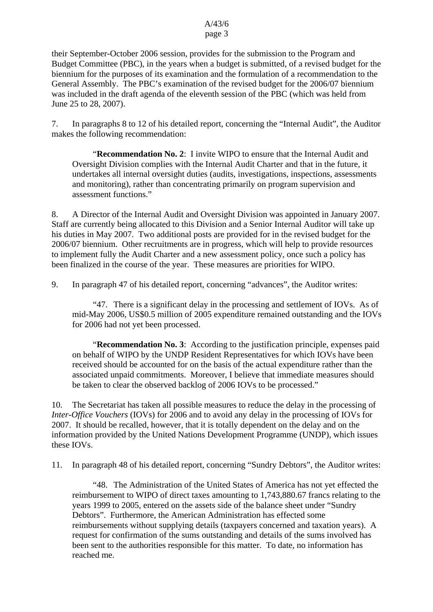their September-October 2006 session, provides for the submission to the Program and Budget Committee (PBC), in the years when a budget is submitted, of a revised budget for the biennium for the purposes of its examination and the formulation of a recommendation to the General Assembly. The PBC's examination of the revised budget for the 2006/07 biennium was included in the draft agenda of the eleventh session of the PBC (which was held from June 25 to 28, 2007).

7. In paragraphs 8 to 12 of his detailed report, concerning the "Internal Audit", the Auditor makes the following recommendation:

 "**Recommendation No. 2**: I invite WIPO to ensure that the Internal Audit and Oversight Division complies with the Internal Audit Charter and that in the future, it undertakes all internal oversight duties (audits, investigations, inspections, assessments and monitoring), rather than concentrating primarily on program supervision and assessment functions."

8. A Director of the Internal Audit and Oversight Division was appointed in January 2007. Staff are currently being allocated to this Division and a Senior Internal Auditor will take up his duties in May 2007. Two additional posts are provided for in the revised budget for the 2006/07 biennium. Other recruitments are in progress, which will help to provide resources to implement fully the Audit Charter and a new assessment policy, once such a policy has been finalized in the course of the year. These measures are priorities for WIPO.

9. In paragraph 47 of his detailed report, concerning "advances", the Auditor writes:

 "47. There is a significant delay in the processing and settlement of IOVs. As of mid-May 2006, US\$0.5 million of 2005 expenditure remained outstanding and the IOVs for 2006 had not yet been processed.

 "**Recommendation No. 3**: According to the justification principle, expenses paid on behalf of WIPO by the UNDP Resident Representatives for which IOVs have been received should be accounted for on the basis of the actual expenditure rather than the associated unpaid commitments. Moreover, I believe that immediate measures should be taken to clear the observed backlog of 2006 IOVs to be processed."

10. The Secretariat has taken all possible measures to reduce the delay in the processing of *Inter-Office Vouchers* (IOVs) for 2006 and to avoid any delay in the processing of IOVs for 2007. It should be recalled, however, that it is totally dependent on the delay and on the information provided by the United Nations Development Programme (UNDP), which issues these IOVs.

11. In paragraph 48 of his detailed report, concerning "Sundry Debtors", the Auditor writes:

 "48. The Administration of the United States of America has not yet effected the reimbursement to WIPO of direct taxes amounting to 1,743,880.67 francs relating to the years 1999 to 2005, entered on the assets side of the balance sheet under "Sundry Debtors". Furthermore, the American Administration has effected some reimbursements without supplying details (taxpayers concerned and taxation years). A request for confirmation of the sums outstanding and details of the sums involved has been sent to the authorities responsible for this matter. To date, no information has reached me.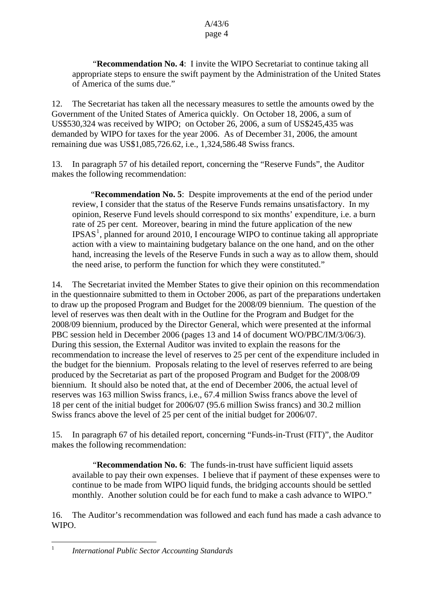"**Recommendation No. 4**: I invite the WIPO Secretariat to continue taking all appropriate steps to ensure the swift payment by the Administration of the United States of America of the sums due."

12. The Secretariat has taken all the necessary measures to settle the amounts owed by the Government of the United States of America quickly. On October 18, 2006, a sum of US\$530,324 was received by WIPO; on October 26, 2006, a sum of US\$245,435 was demanded by WIPO for taxes for the year 2006. As of December 31, 2006, the amount remaining due was US\$1,085,726.62, i.e., 1,324,586.48 Swiss francs.

13. In paragraph 57 of his detailed report, concerning the "Reserve Funds", the Auditor makes the following recommendation:

 "**Recommendation No. 5**: Despite improvements at the end of the period under review, I consider that the status of the Reserve Funds remains unsatisfactory. In my opinion, Reserve Fund levels should correspond to six months' expenditure, i.e. a burn rate of 25 per cent. Moreover, bearing in mind the future application of the new IPSAS<sup>[1](#page-3-0)</sup>, planned for around 2010, I encourage WIPO to continue taking all appropriate action with a view to maintaining budgetary balance on the one hand, and on the other hand, increasing the levels of the Reserve Funds in such a way as to allow them, should the need arise, to perform the function for which they were constituted."

14. The Secretariat invited the Member States to give their opinion on this recommendation in the questionnaire submitted to them in October 2006, as part of the preparations undertaken to draw up the proposed Program and Budget for the 2008/09 biennium. The question of the level of reserves was then dealt with in the Outline for the Program and Budget for the 2008/09 biennium, produced by the Director General, which were presented at the informal PBC session held in December 2006 (pages 13 and 14 of document WO/PBC/IM/3/06/3). During this session, the External Auditor was invited to explain the reasons for the recommendation to increase the level of reserves to 25 per cent of the expenditure included in the budget for the biennium. Proposals relating to the level of reserves referred to are being produced by the Secretariat as part of the proposed Program and Budget for the 2008/09 biennium. It should also be noted that, at the end of December 2006, the actual level of reserves was 163 million Swiss francs, i.e., 67.4 million Swiss francs above the level of 18 per cent of the initial budget for 2006/07 (95.6 million Swiss francs) and 30.2 million Swiss francs above the level of 25 per cent of the initial budget for 2006/07.

15. In paragraph 67 of his detailed report, concerning "Funds-in-Trust (FIT)", the Auditor makes the following recommendation:

 "**Recommendation No. 6**: The funds-in-trust have sufficient liquid assets available to pay their own expenses. I believe that if payment of these expenses were to continue to be made from WIPO liquid funds, the bridging accounts should be settled monthly. Another solution could be for each fund to make a cash advance to WIPO."

16. The Auditor's recommendation was followed and each fund has made a cash advance to WIPO.

 $\overline{a}$ 

<span id="page-3-0"></span><sup>1</sup> *International Public Sector Accounting Standards*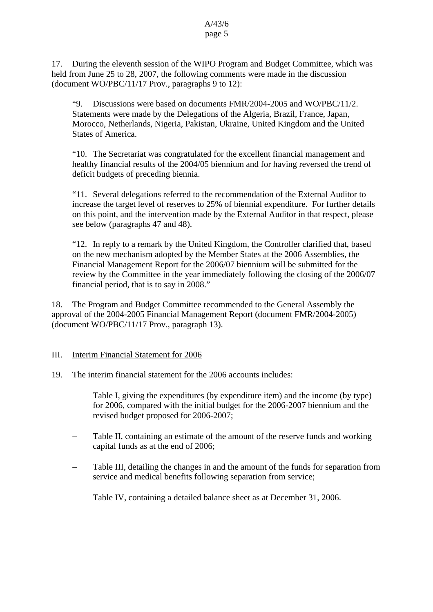17. During the eleventh session of the WIPO Program and Budget Committee, which was held from June 25 to 28, 2007, the following comments were made in the discussion (document WO/PBC/11/17 Prov., paragraphs 9 to 12):

"9. Discussions were based on documents  $FMR/2004-2005$  and  $WO/PBC/11/2$ . Statements were made by the Delegations of the Algeria, Brazil, France, Japan, Morocco, Netherlands, Nigeria, Pakistan, Ukraine, United Kingdom and the United States of America.

"10. The Secretariat was congratulated for the excellent financial management and healthy financial results of the 2004/05 biennium and for having reversed the trend of deficit budgets of preceding biennia.

"11. Several delegations referred to the recommendation of the External Auditor to increase the target level of reserves to 25% of biennial expenditure. For further details on this point, and the intervention made by the External Auditor in that respect, please see below (paragraphs 47 and 48).

"12. In reply to a remark by the United Kingdom, the Controller clarified that, based on the new mechanism adopted by the Member States at the 2006 Assemblies, the Financial Management Report for the 2006/07 biennium will be submitted for the review by the Committee in the year immediately following the closing of the 2006/07 financial period, that is to say in 2008."

18. The Program and Budget Committee recommended to the General Assembly the approval of the 2004-2005 Financial Management Report (document FMR/2004-2005) (document WO/PBC/11/17 Prov., paragraph 13).

III. Interim Financial Statement for 2006

- 19. The interim financial statement for the 2006 accounts includes:
	- Table I, giving the expenditures (by expenditure item) and the income (by type) for 2006, compared with the initial budget for the 2006-2007 biennium and the revised budget proposed for 2006-2007;
	- Table II, containing an estimate of the amount of the reserve funds and working capital funds as at the end of 2006;
	- Table III, detailing the changes in and the amount of the funds for separation from service and medical benefits following separation from service;
	- Table IV, containing a detailed balance sheet as at December 31, 2006.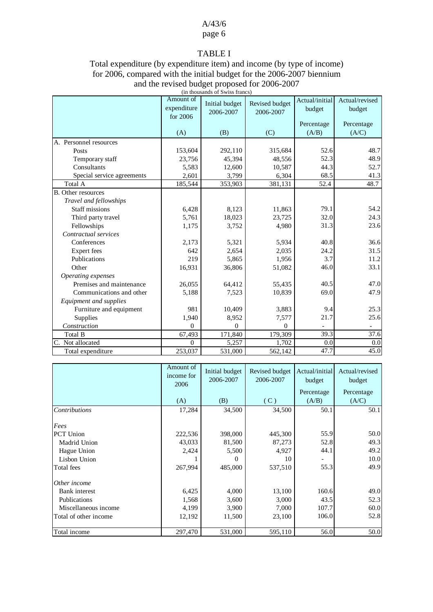## A/43/6

## page 6

## TABLE I

#### Total expenditure (by expenditure item) and income (by type of income) for 2006, compared with the initial budget for the 2006-2007 biennium and the revised budget proposed for 2006-2007 (in thousands of Swiss francs)

|                            | Amount of<br>expenditure<br>for 2006 | Initial budget<br>2006-2007 | Revised budget<br>2006-2007 | Actual/initial<br>budget | Actual/revised<br>budget |
|----------------------------|--------------------------------------|-----------------------------|-----------------------------|--------------------------|--------------------------|
|                            | (A)                                  | (B)                         | (C)                         | Percentage<br>(A/B)      | Percentage<br>(A/C)      |
| A. Personnel resources     |                                      |                             |                             |                          |                          |
| Posts                      | 153,604                              | 292,110                     | 315,684                     | 52.6                     | 48.7                     |
| Temporary staff            | 23,756                               | 45,394                      | 48,556                      | 52.3                     | 48.9                     |
| Consultants                | 5,583                                | 12,600                      | 10,587                      | 44.3                     | 52.7                     |
| Special service agreements | 2,601                                | 3,799                       | 6,304                       | 68.5                     | 41.3                     |
| Total A                    | 185,544                              | 353,903                     | 381,131                     | 52.4                     | 48.7                     |
| B. Other resources         |                                      |                             |                             |                          |                          |
| Travel and fellowships     |                                      |                             |                             |                          |                          |
| <b>Staff missions</b>      | 6,428                                | 8,123                       | 11,863                      | 79.1                     | 54.2                     |
| Third party travel         | 5,761                                | 18,023                      | 23,725                      | 32.0                     | 24.3                     |
| Fellowships                | 1,175                                | 3,752                       | 4,980                       | 31.3                     | 23.6                     |
| Contractual services       |                                      |                             |                             |                          |                          |
| Conferences                | 2,173                                | 5,321                       | 5,934                       | 40.8                     | 36.6                     |
| <b>Expert</b> fees         | 642                                  | 2,654                       | 2,035                       | 24.2                     | 31.5                     |
| Publications               | 219                                  | 5,865                       | 1,956                       | 3.7                      | 11.2                     |
| Other                      | 16,931                               | 36,806                      | 51,082                      | 46.0                     | 33.1                     |
| Operating expenses         |                                      |                             |                             |                          |                          |
| Premises and maintenance   | 26,055                               | 64,412                      | 55,435                      | 40.5                     | 47.0                     |
| Communications and other   | 5,188                                | 7,523                       | 10,839                      | 69.0                     | 47.9                     |
| Equipment and supplies     |                                      |                             |                             |                          |                          |
| Furniture and equipment    | 981                                  | 10,409                      | 3,883                       | 9.4                      | 25.3                     |
| Supplies                   | 1,940                                | 8,952                       | 7,577                       | 21.7                     | 25.6                     |
| Construction               | $\theta$                             | $\theta$                    | $\Omega$                    |                          |                          |
| Total B                    | 67,493                               | 171,840                     | 179,309                     | 39.3                     | 37.6                     |
| C. Not allocated           | $\Omega$                             | 5,257                       | 1,702                       | 0.0                      | 0.0                      |
| Total expenditure          | 253,037                              | 531,000                     | 562,142                     | 47.7                     | 45.0                     |

|                       | Amount of<br>income for<br>2006 | Initial budget<br>2006-2007 | Revised budget<br>2006-2007 | Actual/initial<br>budget | Actual/revised<br>budget |
|-----------------------|---------------------------------|-----------------------------|-----------------------------|--------------------------|--------------------------|
|                       |                                 |                             |                             | Percentage               | Percentage               |
|                       | (A)                             | (B)                         | (C)                         | (A/B)                    | (A/C)                    |
| <b>Contributions</b>  | 17,284                          | 34,500                      | 34,500                      | 50.1                     | 50.1                     |
| Fees                  |                                 |                             |                             |                          |                          |
| <b>PCT</b> Union      | 222,536                         | 398,000                     | 445,300                     | 55.9                     | 50.0                     |
| Madrid Union          | 43,033                          | 81,500                      | 87,273                      | 52.8                     | 49.3                     |
| Hague Union           | 2,424                           | 5,500                       | 4,927                       | 44.1                     | 49.2                     |
| Lisbon Union          |                                 | $\theta$                    | 10                          |                          | 10.0                     |
| Total fees            | 267,994                         | 485,000                     | 537,510                     | 55.3                     | 49.9                     |
| Other income          |                                 |                             |                             |                          |                          |
| Bank interest         | 6,425                           | 4,000                       | 13,100                      | 160.6                    | 49.0                     |
| Publications          | 1,568                           | 3,600                       | 3,000                       | 43.5                     | 52.3                     |
| Miscellaneous income  | 4,199                           | 3,900                       | 7,000                       | 107.7                    | 60.0                     |
| Total of other income | 12,192                          | 11,500                      | 23,100                      | 106.0                    | 52.8                     |
| Total income          | 297,470                         | 531,000                     | 595,110                     | 56.0                     | 50.0                     |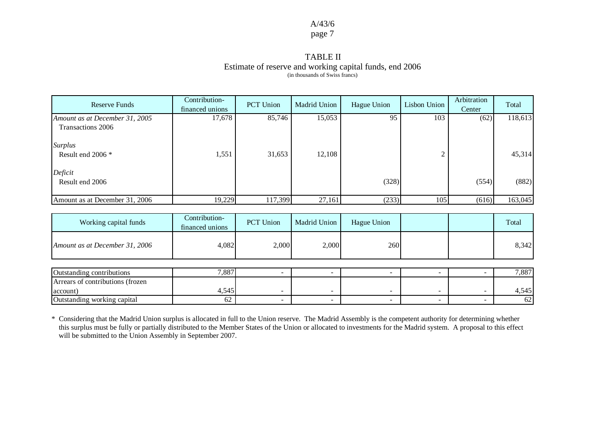## A/43/6

## page 7

#### TABLE II Estimate of reserve and working capital funds, end 2006 (in thousands of Swiss francs)

| <b>Reserve Funds</b>                | Contribution-<br>financed unions | <b>PCT</b> Union | Madrid Union | Hague Union | Lisbon Union | Arbitration<br>Center | Total   |
|-------------------------------------|----------------------------------|------------------|--------------|-------------|--------------|-----------------------|---------|
| Amount as at December 31, 2005      | 17,678                           | 85,746           | 15,053       | 95          | 103          | (62)                  | 118,613 |
| Transactions 2006                   |                                  |                  |              |             |              |                       |         |
| <b>Surplus</b><br>Result end 2006 * | 1,551                            | 31,653           | 12,108       |             |              |                       | 45,314  |
|                                     |                                  |                  |              |             |              |                       |         |
| Deficit                             |                                  |                  |              |             |              |                       |         |
| Result end 2006                     |                                  |                  |              | (328)       |              | (554)                 | (882)   |
| Amount as at December 31, 2006      | 19,229                           | 117,399          | 27,161       | (233)       | 105          | (616)                 | 163,045 |
|                                     |                                  |                  |              |             |              |                       |         |

| Working capital funds            | Contribution-<br>financed unions | <b>PCT</b> Union | Madrid Union | Hague Union |  | Total |
|----------------------------------|----------------------------------|------------------|--------------|-------------|--|-------|
| Amount as at December 31, 2006   | 4,082                            | 2,000            | 2,000        | 260         |  | 8,342 |
|                                  |                                  |                  |              |             |  |       |
| Outstanding contributions        | 7,887                            |                  |              |             |  | 7,887 |
| Arrears of contributions (frozen |                                  |                  |              |             |  |       |
| account)                         | 4,545                            |                  | -            |             |  | 4,545 |
| Outstanding working capital      | 62                               |                  |              |             |  | 62    |

\* Considering that the Madrid Union surplus is allocated in full to the Union reserve. The Madrid Assembly is the competent authority for determining whether this surplus must be fully or partially distributed to the Member States of the Union or allocated to investments for the Madrid system. A proposal to this effect will be submitted to the Union Assembly in September 2007.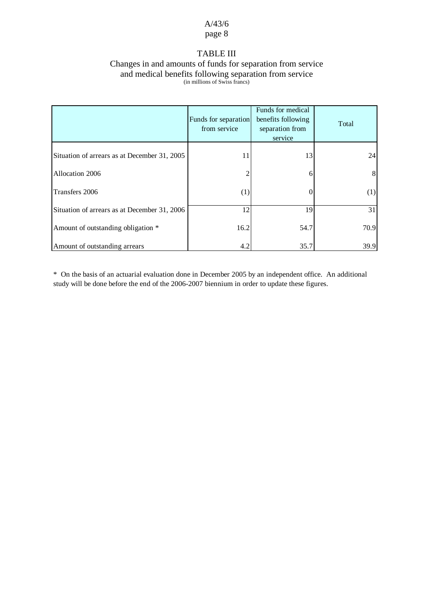## TABLE III

#### Changes in and amounts of funds for separation from service and medical benefits following separation from service (in millions of Swiss francs)

|                                              | Funds for separation<br>from service | Funds for medical<br>benefits following<br>separation from<br>service | Total |
|----------------------------------------------|--------------------------------------|-----------------------------------------------------------------------|-------|
| Situation of arrears as at December 31, 2005 | 11                                   | 13                                                                    | 24    |
| Allocation 2006                              |                                      |                                                                       | 8     |
| Transfers 2006                               | (1)                                  |                                                                       | (1)   |
| Situation of arrears as at December 31, 2006 | 12                                   | 19                                                                    | 31    |
| Amount of outstanding obligation *           | 16.2                                 | 54.7                                                                  | 70.9  |
| Amount of outstanding arrears                | 4.2                                  | 35.7                                                                  | 39.9  |

\* On the basis of an actuarial evaluation done in December 2005 by an independent office. An additional study will be done before the end of the 2006-2007 biennium in order to update these figures.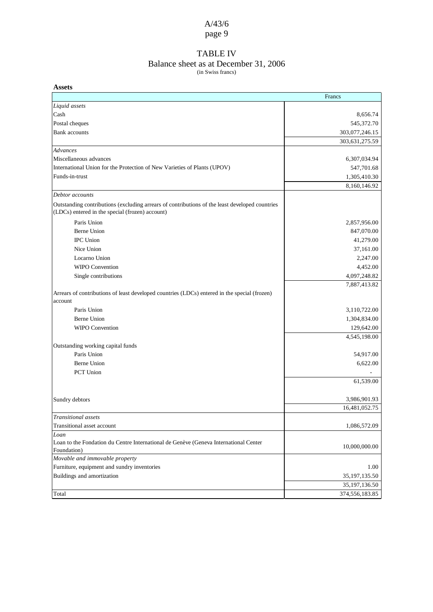## TABLE IV

#### Balance sheet as at December 31, 2006

(in Swiss francs)

| <b>Assets</b>                                                                                                                                     |                 |
|---------------------------------------------------------------------------------------------------------------------------------------------------|-----------------|
|                                                                                                                                                   | Francs          |
| Liquid assets                                                                                                                                     |                 |
| Cash                                                                                                                                              | 8,656.74        |
| Postal cheques                                                                                                                                    | 545,372.70      |
| <b>Bank</b> accounts                                                                                                                              | 303,077,246.15  |
|                                                                                                                                                   | 303,631,275.59  |
| Advances                                                                                                                                          |                 |
| Miscellaneous advances                                                                                                                            | 6,307,034.94    |
| International Union for the Protection of New Varieties of Plants (UPOV)                                                                          | 547,701.68      |
| Funds-in-trust                                                                                                                                    | 1,305,410.30    |
|                                                                                                                                                   | 8,160,146.92    |
| Debtor accounts                                                                                                                                   |                 |
| Outstanding contributions (excluding arrears of contributions of the least developed countries<br>(LDCs) entered in the special (frozen) account) |                 |
| Paris Union                                                                                                                                       | 2,857,956.00    |
| <b>Berne Union</b>                                                                                                                                | 847,070.00      |
| <b>IPC</b> Union                                                                                                                                  | 41,279.00       |
| Nice Union                                                                                                                                        | 37,161.00       |
| Locarno Union                                                                                                                                     | 2,247.00        |
| <b>WIPO</b> Convention                                                                                                                            | 4,452.00        |
| Single contributions                                                                                                                              | 4,097,248.82    |
|                                                                                                                                                   | 7,887,413.82    |
| Arrears of contributions of least developed countries (LDCs) entered in the special (frozen)<br>account                                           |                 |
| Paris Union                                                                                                                                       | 3,110,722.00    |
| <b>Berne Union</b>                                                                                                                                | 1,304,834.00    |
| <b>WIPO</b> Convention                                                                                                                            | 129,642.00      |
|                                                                                                                                                   | 4,545,198.00    |
| Outstanding working capital funds                                                                                                                 |                 |
| Paris Union                                                                                                                                       | 54,917.00       |
| <b>Berne Union</b>                                                                                                                                | 6,622.00        |
| PCT Union                                                                                                                                         |                 |
|                                                                                                                                                   | 61,539.00       |
|                                                                                                                                                   |                 |
| Sundry debtors                                                                                                                                    | 3,986,901.93    |
|                                                                                                                                                   | 16,481,052.75   |
| Transitional assets                                                                                                                               |                 |
| Transitional asset account                                                                                                                        | 1,086,572.09    |
| Loan                                                                                                                                              |                 |
| Loan to the Fondation du Centre International de Genève (Geneva International Center                                                              | 10,000,000.00   |
| Foundation)                                                                                                                                       |                 |
| Movable and immovable property                                                                                                                    |                 |
| Furniture, equipment and sundry inventories                                                                                                       | 1.00            |
| Buildings and amortization                                                                                                                        | 35, 197, 135.50 |
|                                                                                                                                                   | 35,197,136.50   |
| Total                                                                                                                                             | 374,556,183.85  |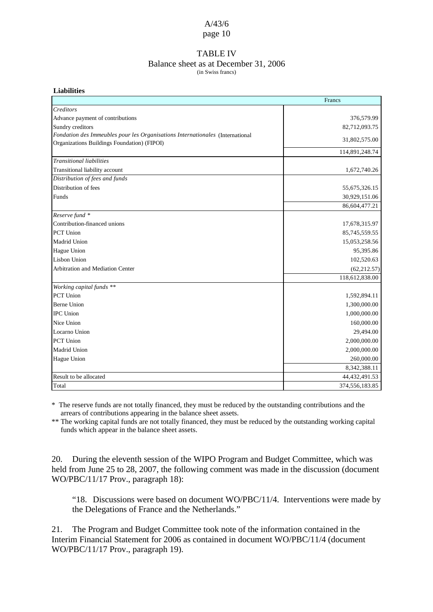### TABLE IV

#### Balance sheet as at December 31, 2006

(in Swiss francs)

| <b>Liabilities</b>                                                            |                |
|-------------------------------------------------------------------------------|----------------|
|                                                                               | Francs         |
| Creditors                                                                     |                |
| Advance payment of contributions                                              | 376,579.99     |
| Sundry creditors                                                              | 82,712,093.75  |
| Fondation des Immeubles pour les Organisations Internationales (International | 31,802,575.00  |
| Organizations Buildings Foundation) (FIPOI)                                   |                |
|                                                                               | 114,891,248.74 |
| <b>Transitional liabilities</b>                                               |                |
| Transitional liability account                                                | 1,672,740.26   |
| Distribution of fees and funds                                                |                |
| Distribution of fees                                                          | 55,675,326.15  |
| Funds                                                                         | 30,929,151.06  |
|                                                                               | 86,604,477.21  |
| Reserve fund *                                                                |                |
| Contribution-financed unions                                                  | 17,678,315.97  |
| PCT Union                                                                     | 85,745,559.55  |
| Madrid Union                                                                  | 15,053,258.56  |
| Hague Union                                                                   | 95,395.86      |
| Lisbon Union                                                                  | 102,520.63     |
| Arbitration and Mediation Center                                              | (62, 212.57)   |
|                                                                               | 118,612,838.00 |
| Working capital funds **                                                      |                |
| PCT Union                                                                     | 1,592,894.11   |
| <b>Berne Union</b>                                                            | 1,300,000.00   |
| <b>IPC</b> Union                                                              | 1,000,000.00   |
| Nice Union                                                                    | 160,000.00     |
| Locarno Union                                                                 | 29,494.00      |
| PCT Union                                                                     | 2,000,000.00   |
| Madrid Union                                                                  | 2,000,000.00   |
| Hague Union                                                                   | 260,000.00     |
|                                                                               | 8,342,388.11   |
| Result to be allocated                                                        | 44,432,491.53  |
| Total                                                                         | 374,556,183.85 |

\* The reserve funds are not totally financed, they must be reduced by the outstanding contributions and the arrears of contributions appearing in the balance sheet assets.

\*\* The working capital funds are not totally financed, they must be reduced by the outstanding working capital funds which appear in the balance sheet assets.

20. During the eleventh session of the WIPO Program and Budget Committee, which was held from June 25 to 28, 2007, the following comment was made in the discussion (document WO/PBC/11/17 Prov., paragraph 18):

"18. Discussions were based on document WO/PBC/11/4. Interventions were made by the Delegations of France and the Netherlands."

21. The Program and Budget Committee took note of the information contained in the Interim Financial Statement for 2006 as contained in document WO/PBC/11/4 (document WO/PBC/11/17 Prov., paragraph 19).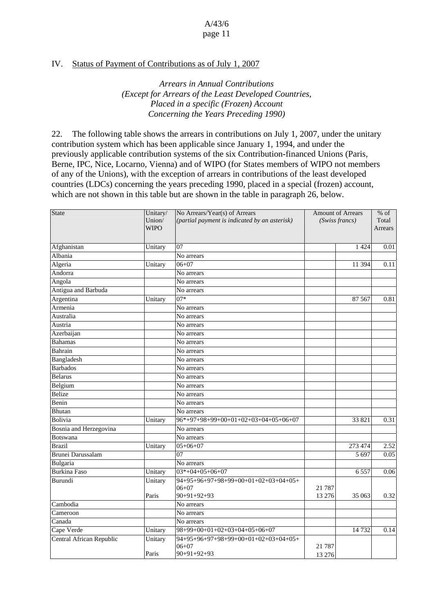### IV. Status of Payment of Contributions as of July 1, 2007

*Arrears in Annual Contributions (Except for Arrears of the Least Developed Countries, Placed in a specific (Frozen) Account Concerning the Years Preceding 1990)*

22. The following table shows the arrears in contributions on July 1, 2007, under the unitary contribution system which has been applicable since January 1, 1994, and under the previously applicable contribution systems of the six Contribution-financed Unions (Paris, Berne, IPC, Nice, Locarno, Vienna) and of WIPO (for States members of WIPO not members of any of the Unions), with the exception of arrears in contributions of the least developed countries (LDCs) concerning the years preceding 1990, placed in a special (frozen) account, which are not shown in this table but are shown in the table in paragraph 26, below.

| State                    | Unitary/<br>No Arrears/Year(s) of Arrears<br>Union/<br>(partial payment is indicated by an asterisk)<br><b>WIPO</b> |                                                                    | <b>Amount of Arrears</b><br>(Swiss francs) |         | $%$ of<br>Total<br>Arrears |
|--------------------------|---------------------------------------------------------------------------------------------------------------------|--------------------------------------------------------------------|--------------------------------------------|---------|----------------------------|
| Afghanistan              | Unitary                                                                                                             | 07                                                                 |                                            | 1 4 2 4 | 0.01                       |
| Albania                  |                                                                                                                     | No arrears                                                         |                                            |         |                            |
| Algeria                  | Unitary                                                                                                             | $06 + 07$                                                          |                                            | 11 394  | 0.11                       |
| Andorra                  |                                                                                                                     | No arrears                                                         |                                            |         |                            |
| Angola                   |                                                                                                                     | No arrears                                                         |                                            |         |                            |
| Antigua and Barbuda      |                                                                                                                     | No arrears                                                         |                                            |         |                            |
| Argentina                | Unitary                                                                                                             | $07*$                                                              |                                            | 87 5 67 | 0.81                       |
| Armenia                  |                                                                                                                     | No arrears                                                         |                                            |         |                            |
| Australia                |                                                                                                                     | No arrears                                                         |                                            |         |                            |
| Austria                  |                                                                                                                     | No arrears                                                         |                                            |         |                            |
| Azerbaijan               |                                                                                                                     | No arrears                                                         |                                            |         |                            |
| <b>Bahamas</b>           |                                                                                                                     | No arrears                                                         |                                            |         |                            |
| Bahrain                  |                                                                                                                     | No arrears                                                         |                                            |         |                            |
| Bangladesh               |                                                                                                                     | No arrears                                                         |                                            |         |                            |
| <b>Barbados</b>          |                                                                                                                     | No arrears                                                         |                                            |         |                            |
| <b>Belarus</b>           |                                                                                                                     | No arrears                                                         |                                            |         |                            |
| Belgium                  |                                                                                                                     | No arrears                                                         |                                            |         |                            |
| Belize                   |                                                                                                                     | No arrears                                                         |                                            |         |                            |
| Benin                    |                                                                                                                     | No arrears                                                         |                                            |         |                            |
| Bhutan                   |                                                                                                                     | No arrears                                                         |                                            |         |                            |
| Bolivia                  | Unitary                                                                                                             | $96*+97+98+99+00+01+02+03+04+05+06+07$                             |                                            | 33 821  | 0.31                       |
| Bosnia and Herzegovina   |                                                                                                                     | No arrears                                                         |                                            |         |                            |
| <b>Botswana</b>          |                                                                                                                     | No arrears                                                         |                                            |         |                            |
| <b>Brazil</b>            | Unitary                                                                                                             | $05+06+07$                                                         |                                            | 273 474 | 2.52                       |
| <b>Brunei Darussalam</b> |                                                                                                                     | 07                                                                 |                                            | 5 6 9 7 | 0.05                       |
| Bulgaria                 |                                                                                                                     | No arrears                                                         |                                            |         |                            |
| <b>Burkina Faso</b>      | Unitary                                                                                                             | $03*+04+05+06+07$                                                  |                                            | 6557    | 0.06                       |
| Burundi                  | Unitary<br>Paris                                                                                                    | 94+95+96+97+98+99+00+01+02+03+04+05+<br>$06 + 07$<br>$90+91+92+93$ | 21 787<br>13 27 6                          | 35 063  | 0.32                       |
| Cambodia                 |                                                                                                                     | No arrears                                                         |                                            |         |                            |
| Cameroon                 |                                                                                                                     | No arrears                                                         |                                            |         |                            |
| Canada                   |                                                                                                                     | No arrears                                                         |                                            |         |                            |
|                          |                                                                                                                     | 98+99+00+01+02+03+04+05+06+07                                      |                                            |         | 0.14                       |
| Cape Verde               | Unitary                                                                                                             |                                                                    |                                            | 14 7 32 |                            |
| Central African Republic | Unitary<br>Paris                                                                                                    | 94+95+96+97+98+99+00+01+02+03+04+05+<br>$06 + 07$<br>$90+91+92+93$ | 21 7 8 7                                   |         |                            |
|                          |                                                                                                                     |                                                                    | 13 276                                     |         |                            |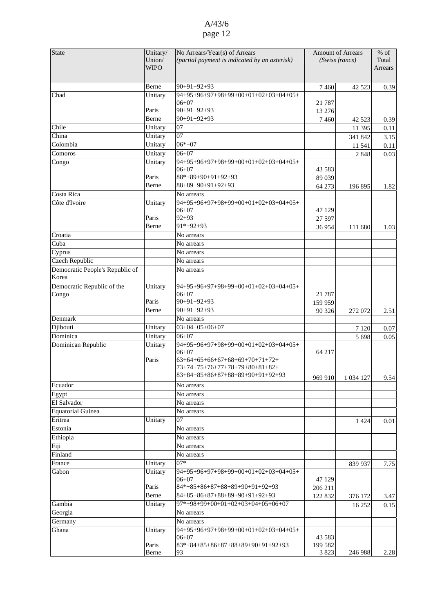| <b>State</b>                    | Unitary/              | No Arrears/Year(s) of Arrears                                      | <b>Amount of Arrears</b> |             | $%$ of           |
|---------------------------------|-----------------------|--------------------------------------------------------------------|--------------------------|-------------|------------------|
|                                 | Union/<br><b>WIPO</b> | (partial payment is indicated by an asterisk)                      | (Swiss francs)           |             | Total<br>Arrears |
|                                 |                       |                                                                    |                          |             |                  |
|                                 | Berne                 | $90+91+92+93$                                                      | 7460                     | 42 5 23     | 0.39             |
| Chad                            | Unitary               | 94+95+96+97+98+99+00+01+02+03+04+05+                               |                          |             |                  |
|                                 |                       | $06 + 07$                                                          | 21 7 8 7                 |             |                  |
|                                 | Paris                 | $90+91+92+93$                                                      | 13 27 6                  |             |                  |
|                                 | <b>Berne</b>          | $90+91+92+93$                                                      | 7460                     | 42 5 23     | 0.39             |
| Chile                           | Unitary               | 07                                                                 |                          | 11 395      | 0.11             |
| China                           | Unitary               | 07                                                                 |                          | 341 842     | 3.15             |
| Colombia                        | Unitary               | $06*+07$                                                           |                          | 11 541      | 0.11             |
| Comoros                         | Unitary               | $06+07$                                                            |                          | 2 8 4 8     | 0.03             |
| Congo                           | Unitary               | 94+95+96+97+98+99+00+01+02+03+04+05+                               |                          |             |                  |
|                                 |                       | $06 + 07$                                                          | 43 5 83                  |             |                  |
|                                 | Paris                 | 88*+89+90+91+92+93                                                 | 89 039                   |             |                  |
|                                 | Berne                 | $88+89+90+91+92+93$                                                | 64 273                   | 196 895     | 1.82             |
| Costa Rica<br>Côte d'Ivoire     |                       | No arrears<br>$94+95+96+97+98+99+00+01+02+03+04+05+$               |                          |             |                  |
|                                 | Unitary               | $06+07$                                                            | 47 129                   |             |                  |
|                                 | Paris                 | $92 + 93$                                                          | 27 597                   |             |                  |
|                                 | Berne                 | $91*+92+93$                                                        | 36954                    | 111 680     | 1.03             |
| Croatia                         |                       | No arrears                                                         |                          |             |                  |
| Cuba                            |                       | No arrears                                                         |                          |             |                  |
| Cyprus                          |                       | No arrears                                                         |                          |             |                  |
| <b>Czech Republic</b>           |                       | No arrears                                                         |                          |             |                  |
| Democratic People's Republic of |                       | No arrears                                                         |                          |             |                  |
| Korea                           |                       |                                                                    |                          |             |                  |
| Democratic Republic of the      | Unitary               | 94+95+96+97+98+99+00+01+02+03+04+05+                               |                          |             |                  |
| Congo                           |                       | $06 + 07$                                                          | 21 7 8 7                 |             |                  |
|                                 | Paris                 | $90+91+92+93$                                                      | 159 959                  |             |                  |
|                                 | Berne                 | $90+91+92+93$                                                      | 90 326                   | 272 072     | 2.51             |
| Denmark                         |                       | No arrears                                                         |                          |             |                  |
| Djibouti                        | Unitary               | $03+04+05+06+07$                                                   |                          | 7 1 2 0     | 0.07             |
| Dominica                        | Unitary               | $06 + 07$                                                          |                          | 5 6 9 8     | 0.05             |
| Dominican Republic              | Unitary               | $94+95+96+97+98+99+00+01+02+03+04+05+$                             |                          |             |                  |
|                                 |                       | $06 + 07$                                                          | 64 217                   |             |                  |
|                                 | Paris                 | $63+64+65+66+67+68+69+70+71+72+$<br>73+74+75+76+77+78+79+80+81+82+ |                          |             |                  |
|                                 |                       | $83+84+85+86+87+88+89+90+91+92+93$                                 |                          |             |                  |
| Ecuador                         |                       | No arrears                                                         | 969 910                  | 1 0 34 1 27 | 9.54             |
| Egypt                           |                       | No arrears                                                         |                          |             |                  |
| El Salvador                     |                       | No arrears                                                         |                          |             |                  |
| Equatorial Guinea               |                       | No arrears                                                         |                          |             |                  |
| Eritrea                         | Unitary               | 07                                                                 |                          | 1 4 2 4     | 0.01             |
| Estonia                         |                       | No arrears                                                         |                          |             |                  |
| Ethiopia                        |                       | No arrears                                                         |                          |             |                  |
| Fiji                            |                       | No arrears                                                         |                          |             |                  |
| Finland                         |                       | No arrears                                                         |                          |             |                  |
| France                          | Unitary               | $07*$                                                              |                          | 839 937     | 7.75             |
| Gabon                           | Unitary               | 94+95+96+97+98+99+00+01+02+03+04+05+                               |                          |             |                  |
|                                 |                       | $06 + 07$                                                          | 47 129                   |             |                  |
|                                 | Paris                 | $84*+85+86+87+88+89+90+91+92+93$                                   | 206 211                  |             |                  |
|                                 | Berne                 | 84+85+86+87+88+89+90+91+92+93                                      | 122 832                  | 376 172     | 3.47             |
| Gambia                          | Unitary               | $97*+98+99+00+01+02+03+04+05+06+07$                                |                          | 16 25 2     | 0.15             |
| Georgia                         |                       | No arrears                                                         |                          |             |                  |
| Germany                         |                       | No arrears                                                         |                          |             |                  |
| Ghana                           | Unitary               | 94+95+96+97+98+99+00+01+02+03+04+05+                               |                          |             |                  |
|                                 |                       | $06 + 07$                                                          | 43 5 83                  |             |                  |
|                                 | Paris                 | $83*+84+85+86+87+88+89+90+91+92+93$                                | 199 582                  |             |                  |
|                                 | Berne                 | 93                                                                 | 3823                     | 246 988     | 2.28             |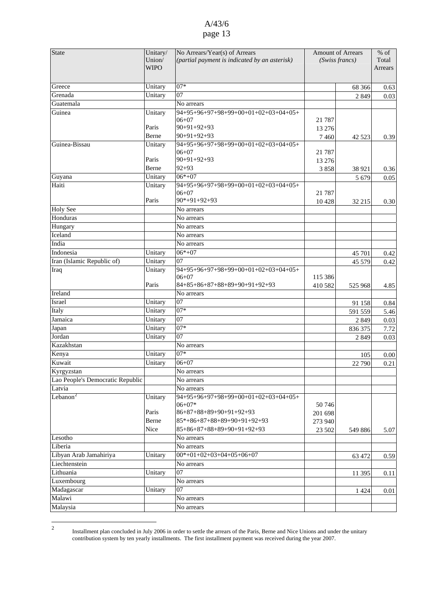<span id="page-12-0"></span>

| <b>State</b>                     | Unitary/<br>Union/ | No Arrears/Year(s) of Arrears<br>(partial payment is indicated by an asterisk) | <b>Amount of Arrears</b><br>(Swiss francs) |                   | $%$ of<br>Total |
|----------------------------------|--------------------|--------------------------------------------------------------------------------|--------------------------------------------|-------------------|-----------------|
|                                  | <b>WIPO</b>        |                                                                                |                                            |                   | Arrears         |
|                                  |                    |                                                                                |                                            |                   |                 |
| Greece                           | Unitary            | $07*$                                                                          |                                            | 68 36 6           | 0.63            |
| Grenada                          | Unitary            | 07                                                                             |                                            | 2849              | 0.03            |
| Guatemala                        |                    | No arrears                                                                     |                                            |                   |                 |
| Guinea                           | Unitary            | 94+95+96+97+98+99+00+01+02+03+04+05+                                           |                                            |                   |                 |
|                                  |                    | $06 + 07$                                                                      | 21 7 8 7                                   |                   |                 |
|                                  | Paris              | $90+91+92+93$                                                                  | 13 27 6                                    |                   |                 |
|                                  | Berne              | $90+91+92+93$                                                                  | 7460                                       | 42 5 23           | 0.39            |
| Guinea-Bissau                    | Unitary            | 94+95+96+97+98+99+00+01+02+03+04+05+<br>$06+07$                                |                                            |                   |                 |
|                                  | Paris              | $90+91+92+93$                                                                  | 21 787                                     |                   |                 |
|                                  | Berne              | $92 + 93$                                                                      | 13 276                                     |                   |                 |
| Guyana                           | Unitary            | $06*+07$                                                                       | 3858                                       | 38 921<br>5 6 7 9 | 0.36<br>0.05    |
| Haiti                            | Unitary            | 94+95+96+97+98+99+00+01+02+03+04+05+                                           |                                            |                   |                 |
|                                  |                    | $06 + 07$                                                                      | 21 7 8 7                                   |                   |                 |
|                                  | Paris              | $90*+91+92+93$                                                                 | 10428                                      | 32 215            | 0.30            |
| <b>Holy See</b>                  |                    | No arrears                                                                     |                                            |                   |                 |
| Honduras                         |                    | No arrears                                                                     |                                            |                   |                 |
| Hungary                          |                    | No arrears                                                                     |                                            |                   |                 |
| Iceland                          |                    | No arrears                                                                     |                                            |                   |                 |
| India                            |                    | No arrears                                                                     |                                            |                   |                 |
| Indonesia                        | Unitary            | $06*+07$                                                                       |                                            | 45 701            | 0.42            |
| Iran (Islamic Republic of)       | Unitary            | 07                                                                             |                                            | 45 579            | 0.42            |
| Iraq                             | Unitary            | 94+95+96+97+98+99+00+01+02+03+04+05+                                           |                                            |                   |                 |
|                                  |                    | $06+07$                                                                        | 115 386                                    |                   |                 |
|                                  | Paris              | 84+85+86+87+88+89+90+91+92+93                                                  | 410 582                                    | 525 968           | 4.85            |
| Ireland                          |                    | No arrears                                                                     |                                            |                   |                 |
| Israel                           | Unitary            | 07<br>$07*$                                                                    |                                            | 91 158            | 0.84            |
| Italy                            | Unitary            | 07                                                                             |                                            | 591 559           | 5.46            |
| Jamaica                          | Unitary            | $07*$                                                                          |                                            | 2 8 4 9           | 0.03            |
| Japan<br>Jordan                  | Unitary<br>Unitary | 07                                                                             |                                            | 836 375           | 7.72            |
| Kazakhstan                       |                    | No arrears                                                                     |                                            | 2849              | 0.03            |
| Kenya                            | Unitary            | $07*$                                                                          |                                            |                   |                 |
| Kuwait                           | Unitary            | $06 + 07$                                                                      |                                            | 105               | 0.00            |
| Kyrgyzstan                       |                    | No arrears                                                                     |                                            | 22 790            | 0.21            |
| Lao People's Democratic Republic |                    | No arrears                                                                     |                                            |                   |                 |
| Latvia                           |                    | No arrears                                                                     |                                            |                   |                 |
| Lebanon <sup>2</sup>             | Unitary            | 94+95+96+97+98+99+00+01+02+03+04+05+                                           |                                            |                   |                 |
|                                  |                    | $06+07*$                                                                       | 50746                                      |                   |                 |
|                                  | Paris              | 86+87+88+89+90+91+92+93                                                        | 201 698                                    |                   |                 |
|                                  | Berne              | 85*+86+87+88+89+90+91+92+93                                                    | 273 940                                    |                   |                 |
|                                  | Nice               | 85+86+87+88+89+90+91+92+93                                                     | 23 502                                     | 549 886           | 5.07            |
| Lesotho                          |                    | No arrears                                                                     |                                            |                   |                 |
| Liberia                          |                    | No arrears                                                                     |                                            |                   |                 |
| Libyan Arab Jamahiriya           | Unitary            | $00*+01+02+03+04+05+06+07$                                                     |                                            | 63 472            | 0.59            |
| Liechtenstein                    |                    | No arrears                                                                     |                                            |                   |                 |
| Lithuania                        | Unitary            | 07                                                                             |                                            | 11 395            | 0.11            |
| Luxembourg                       |                    | No arrears                                                                     |                                            |                   |                 |
| Madagascar                       | Unitary            | 07                                                                             |                                            | 1 4 2 4           | 0.01            |
| Malawi                           |                    | No arrears                                                                     |                                            |                   |                 |
| Malaysia                         |                    | No arrears                                                                     |                                            |                   |                 |

 $\frac{1}{2}$  Installment plan concluded in July 2006 in order to settle the arrears of the Paris, Berne and Nice Unions and under the unitary contribution system by ten yearly installments. The first installment payment was received during the year 2007.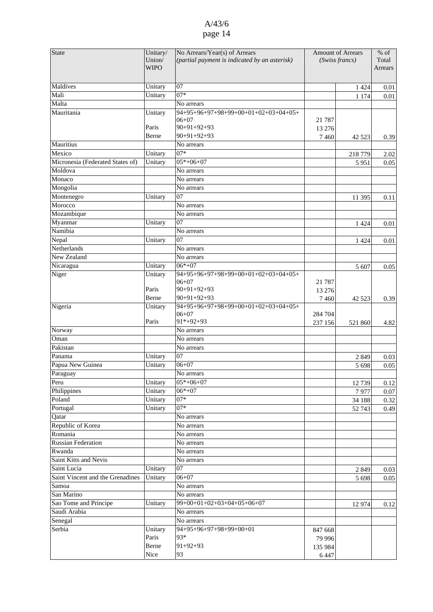| <b>State</b>                     | Unitary/    | No Arrears/Year(s) of Arrears                     | <b>Amount of Arrears</b> |                | $%$ of  |
|----------------------------------|-------------|---------------------------------------------------|--------------------------|----------------|---------|
|                                  | Union/      | (partial payment is indicated by an asterisk)     |                          | (Swiss francs) | Total   |
|                                  | <b>WIPO</b> |                                                   |                          |                | Arrears |
|                                  |             |                                                   |                          |                |         |
| Maldives                         | Unitary     | 07                                                |                          | 1 4 2 4        | 0.01    |
| Mali                             | Unitary     | $07*$                                             |                          |                |         |
| Malta                            |             | No arrears                                        |                          | 1 1 7 4        | 0.01    |
|                                  |             |                                                   |                          |                |         |
| Mauritania                       | Unitary     | 94+95+96+97+98+99+00+01+02+03+04+05+<br>$06 + 07$ | 21 7 87                  |                |         |
|                                  | Paris       | $90+91+92+93$                                     |                          |                |         |
|                                  |             | $90+91+92+93$                                     | 13 27 6                  |                |         |
|                                  | Berne       |                                                   | 7460                     | 42 5 23        | 0.39    |
| Mauritius                        |             | No arrears                                        |                          |                |         |
| Mexico                           | Unitary     | $07*$                                             |                          | 218 779        | 2.02    |
| Micronesia (Federated States of) | Unitary     | $05*+06+07$                                       |                          | 5951           | 0.05    |
| Moldova                          |             | No arrears                                        |                          |                |         |
| Monaco                           |             | No arrears                                        |                          |                |         |
| Mongolia                         |             | No arrears                                        |                          |                |         |
| Montenegro                       | Unitary     | $\overline{07}$                                   |                          | 11 395         | 0.11    |
| Morocco                          |             | No arrears                                        |                          |                |         |
| Mozambique                       |             | No arrears                                        |                          |                |         |
| Myanmar                          | Unitary     | 07                                                |                          | 1 4 2 4        | 0.01    |
| Namibia                          |             | No arrears                                        |                          |                |         |
| Nepal                            | Unitary     | 07                                                |                          | 1 4 2 4        | 0.01    |
| Netherlands                      |             | No arrears                                        |                          |                |         |
| New Zealand                      |             | No arrears                                        |                          |                |         |
|                                  |             |                                                   |                          |                |         |
| Nicaragua                        | Unitary     | $06*+07$                                          |                          | 5 607          | 0.05    |
| Niger                            | Unitary     | 94+95+96+97+98+99+00+01+02+03+04+05+<br>$06 + 07$ |                          |                |         |
|                                  | Paris       | $90+91+92+93$                                     | 21 7 8 7                 |                |         |
|                                  |             |                                                   | 13 27 6                  |                |         |
|                                  | Berne       | $90+91+92+93$                                     | 7460                     | 42 5 23        | 0.39    |
| Nigeria                          | Unitary     | 94+95+96+97+98+99+00+01+02+03+04+05+              |                          |                |         |
|                                  | Paris       | $06 + 07$<br>$91*+92+93$                          | 284 704                  |                |         |
|                                  |             |                                                   | 237 156                  | 521 860        | 4.82    |
| Norway                           |             | No arrears                                        |                          |                |         |
| Oman                             |             | No arrears                                        |                          |                |         |
| Pakistan                         |             | No arrears                                        |                          |                |         |
| Panama                           | Unitary     | 07                                                |                          | 2849           | 0.03    |
| Papua New Guinea                 | Unitary     | $06 + 07$                                         |                          | 5 6 9 8        | 0.05    |
| Paraguay                         |             | No arrears                                        |                          |                |         |
| Peru                             | Unitary     | $05*+06+07$                                       |                          | 12739          | 0.12    |
| Philippines                      | Unitary     | $06*+07$                                          |                          | 7977           | 0.07    |
| Poland                           | Unitary     | $07*$                                             |                          | 34 188         | 0.32    |
| Portugal                         | Unitary     | $07*$                                             |                          | 52 743         | 0.49    |
| Qatar                            |             | No arrears                                        |                          |                |         |
| Republic of Korea                |             | No arrears                                        |                          |                |         |
| Romania                          |             | No arrears                                        |                          |                |         |
| <b>Russian Federation</b>        |             |                                                   |                          |                |         |
|                                  |             | No arrears                                        |                          |                |         |
| Rwanda                           |             | No arrears                                        |                          |                |         |
| Saint Kitts and Nevis            |             | No arrears                                        |                          |                |         |
| Saint Lucia                      | Unitary     | 07                                                |                          | 2 8 4 9        | 0.03    |
| Saint Vincent and the Grenadines | Unitary     | $06 + 07$                                         |                          | 5 6 9 8        | 0.05    |
| Samoa                            |             | No arrears                                        |                          |                |         |
| San Marino                       |             | No arrears                                        |                          |                |         |
| Sao Tome and Principe            | Unitary     | $99+00+01+02+03+04+05+06+07$                      |                          | 12 974         | 0.12    |
| Saudi Arabia                     |             | No arrears                                        |                          |                |         |
| Senegal                          |             | No arrears                                        |                          |                |         |
| Serbia                           | Unitary     | $\overline{94+95+96+97+98+99+00+01}$              | 847 668                  |                |         |
|                                  | Paris       | 93*                                               | 79 996                   |                |         |
|                                  | Berne       | $91+92+93$                                        |                          |                |         |
|                                  | Nice        | 93                                                | 135 984                  |                |         |
|                                  |             |                                                   | 6447                     |                |         |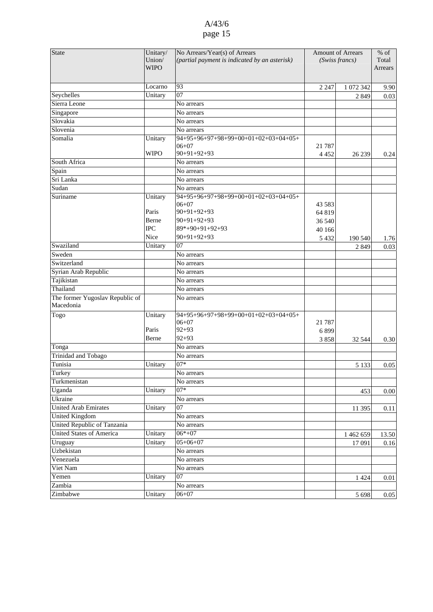| <b>State</b>                    | Unitary/    | No Arrears/Year(s) of Arrears                 |                | <b>Amount of Arrears</b> |          |
|---------------------------------|-------------|-----------------------------------------------|----------------|--------------------------|----------|
|                                 | Union/      | (partial payment is indicated by an asterisk) | (Swiss francs) |                          | Total    |
|                                 | <b>WIPO</b> |                                               |                |                          | Arrears  |
|                                 |             |                                               |                |                          |          |
|                                 | Locarno     | 93                                            | 2 2 4 7        | 1 072 342                | 9.90     |
| Seychelles                      | Unitary     | 07                                            |                | 2849                     | 0.03     |
| Sierra Leone                    |             | No arrears                                    |                |                          |          |
| Singapore                       |             | No arrears                                    |                |                          |          |
| Slovakia                        |             | No arrears                                    |                |                          |          |
| Slovenia                        |             | No arrears                                    |                |                          |          |
| Somalia                         | Unitary     | 94+95+96+97+98+99+00+01+02+03+04+05+          |                |                          |          |
|                                 |             | $06 + 07$                                     | 21 7 8 7       |                          |          |
|                                 | <b>WIPO</b> | $90+91+92+93$                                 | 4 4 5 2        | 26 239                   | 0.24     |
| South Africa                    |             | No arrears                                    |                |                          |          |
| Spain                           |             | No arrears                                    |                |                          |          |
| Sri Lanka                       |             | No arrears                                    |                |                          |          |
| Sudan                           |             | No arrears                                    |                |                          |          |
| Suriname                        | Unitary     | $94+95+96+97+98+99+00+01+02+03+04+05+$        |                |                          |          |
|                                 |             | $06 + 07$                                     | 43 583         |                          |          |
|                                 | Paris       | $90+91+92+93$                                 | 64 819         |                          |          |
|                                 | Berne       | $90+91+92+93$                                 | 36 540         |                          |          |
|                                 | <b>IPC</b>  | 89*+90+91+92+93                               | 40 166         |                          |          |
|                                 | Nice        | $90+91+92+93$                                 | 5 4 3 2        | 190 540                  | 1.76     |
| Swaziland                       | Unitary     | 07                                            |                | 2 8 4 9                  | 0.03     |
| Sweden                          |             | No arrears                                    |                |                          |          |
| Switzerland                     |             | No arrears                                    |                |                          |          |
| Syrian Arab Republic            |             | No arrears                                    |                |                          |          |
| Tajikistan                      |             | No arrears                                    |                |                          |          |
| Thailand                        |             | No arrears                                    |                |                          |          |
| The former Yugoslav Republic of |             | No arrears                                    |                |                          |          |
| Macedonia                       |             |                                               |                |                          |          |
| Togo                            | Unitary     | 94+95+96+97+98+99+00+01+02+03+04+05+          |                |                          |          |
|                                 |             | $06 + 07$                                     | 21 7 8 7       |                          |          |
|                                 | Paris       | $92 + 93$                                     | 6899           |                          |          |
|                                 | Berne       | $92 + 93$                                     | 3858           | 32 544                   | 0.30     |
| Tonga                           |             | No arrears                                    |                |                          |          |
| <b>Trinidad and Tobago</b>      |             | No arrears                                    |                |                          |          |
| Tunisia                         | Unitary     | $07*$                                         |                | 5 1 3 3                  | 0.05     |
| Turkey                          |             | No arrears                                    |                |                          |          |
| Turkmenistan                    |             | No arrears                                    |                |                          |          |
| Uganda                          | Unitary     | $07*$                                         |                | 453                      | $0.00\,$ |
| Ukraine                         |             | No arrears                                    |                |                          |          |
| <b>United Arab Emirates</b>     | Unitary     | $\overline{07}$                               |                | 11 395                   | 0.11     |
| <b>United Kingdom</b>           |             | No arrears                                    |                |                          |          |
| United Republic of Tanzania     |             | No arrears                                    |                |                          |          |
| United States of America        | Unitary     | $06*+07$                                      |                | 1 462 659                | 13.50    |
| Uruguay                         | Unitary     | $05+06+07$                                    |                | 17 091                   | 0.16     |
| Uzbekistan                      |             | No arrears                                    |                |                          |          |
| Venezuela                       |             | No arrears                                    |                |                          |          |
| Viet Nam                        |             | No arrears                                    |                |                          |          |
| Yemen                           | Unitary     | 07                                            |                | 1 4 2 4                  | $0.01\,$ |
| Zambia                          |             | No arrears                                    |                |                          |          |
| Zimbabwe                        | Unitary     | $06 + 07$                                     |                |                          |          |
|                                 |             |                                               |                | 5 6 9 8                  | 0.05     |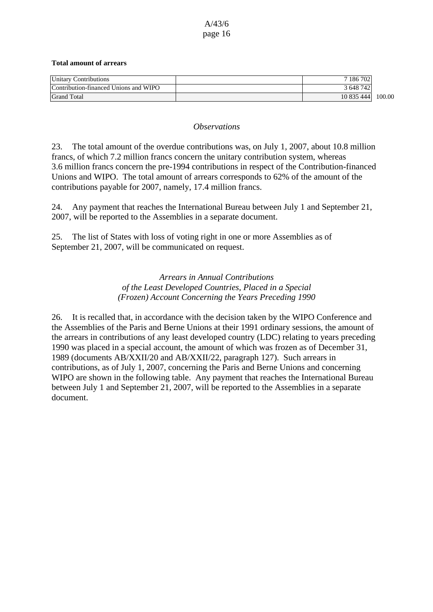#### **Total amount of arrears**

| <b>Unitary Contributions</b>          | 7 186 702  |        |
|---------------------------------------|------------|--------|
| Contribution-financed Unions and WIPO | 3 648 742  |        |
| <b>Grand Total</b>                    | 10 835 444 | 100.00 |

#### *Observations*

23. The total amount of the overdue contributions was, on July 1, 2007, about 10.8 million francs, of which 7.2 million francs concern the unitary contribution system, whereas 3.6 million francs concern the pre-1994 contributions in respect of the Contribution-financed Unions and WIPO. The total amount of arrears corresponds to 62% of the amount of the contributions payable for 2007, namely, 17.4 million francs.

24. Any payment that reaches the International Bureau between July 1 and September 21, 2007, will be reported to the Assemblies in a separate document.

25. The list of States with loss of voting right in one or more Assemblies as of September 21, 2007, will be communicated on request.

> *Arrears in Annual Contributions of the Least Developed Countries, Placed in a Special (Frozen) Account Concerning the Years Preceding 1990*

26. It is recalled that, in accordance with the decision taken by the WIPO Conference and the Assemblies of the Paris and Berne Unions at their 1991 ordinary sessions, the amount of the arrears in contributions of any least developed country (LDC) relating to years preceding 1990 was placed in a special account, the amount of which was frozen as of December 31, 1989 (documents AB/XXII/20 and AB/XXII/22, paragraph 127). Such arrears in contributions, as of July 1, 2007, concerning the Paris and Berne Unions and concerning WIPO are shown in the following table. Any payment that reaches the International Bureau between July 1 and September 21, 2007, will be reported to the Assemblies in a separate document.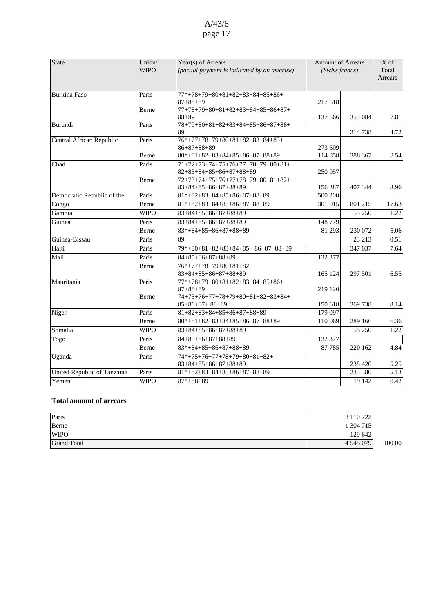| State                       | Union/<br><b>WIPO</b> | Year(s) of Arrears<br>$\alpha$ (partial payment is indicated by an asterisk)                            | <b>Amount of Arrears</b><br>(Swiss francs) |         | $%$ of<br>Total<br><b>Arrears</b> |
|-----------------------------|-----------------------|---------------------------------------------------------------------------------------------------------|--------------------------------------------|---------|-----------------------------------|
| <b>Burkina Faso</b>         | Paris                 | $77*+78+79+80+81+82+83+84+85+86+$<br>$87 + 88 + 89$                                                     | 217 518                                    |         |                                   |
|                             | Berne                 | $77+78+79+80+81+82+83+84+85+86+87+$<br>$88 + 89$                                                        | 137 566                                    | 355 084 | 7.81                              |
| Burundi                     | Paris                 | $78+79+80+81+82+83+84+85+86+87+88+$<br>89                                                               |                                            | 214 738 | 4.72                              |
| Central African Republic    | Paris                 | $76*+77+78+79+80+81+82+83+84+85+$<br>$86+87+88+89$                                                      | 273 509                                    |         |                                   |
|                             | Berne                 | $80*+81+82+83+84+85+86+87+88+89$                                                                        | 114 858                                    | 388 367 | 8.54                              |
| Chad                        | Paris<br>Berne        | $71+72+73+74+75+76+77+78+79+80+81+$<br>$82+83+84+85+86+87+88+89$<br>$72+73+74+75+76+77+78+79+80+81+82+$ | 250 957                                    |         |                                   |
|                             |                       | $83+84+85+86+87+88+89$                                                                                  | 156 387                                    | 407 344 | 8.96                              |
| Democratic Republic of the  | Paris                 | $81*+82+83+84+85+86+87+88+89$                                                                           | $\frac{1}{500}$ 200                        |         |                                   |
| Congo                       | Berne                 | $81*+82+83+84+85+86+87+88+89$                                                                           | 301 015                                    | 801 215 | 17.63                             |
| Gambia                      | <b>WIPO</b>           | $83+84+85+86+87+88+89$                                                                                  |                                            | 55 250  | 1.22                              |
| Guinea                      | Paris                 | $83+84+85+86+87+88+89$                                                                                  | 148 779                                    |         |                                   |
|                             | Berne                 | $83*+84+85+86+87+88+89$                                                                                 | 81 293                                     | 230 072 | 5.06                              |
| Guinea-Bissau               | Paris                 | 89                                                                                                      |                                            | 23 213  | 0.51                              |
| Haiti                       | Paris                 | $79*+80+81+82+83+84+85+86+87+88+89$                                                                     |                                            | 347 037 | 7.64                              |
| Mali                        | Paris                 | $84 + 85 + 86 + 87 + 88 + 89$                                                                           | 132 377                                    |         |                                   |
|                             | Berne                 | $76*+77+78+79+80+81+82+$<br>$83+84+85+86+87+88+89$                                                      | 165 124                                    | 297 501 | 6.55                              |
| Mauritania                  | Paris<br>Berne        | $77*+78+79+80+81+82+83+84+85+86+$<br>$87 + 88 + 89$<br>74+75+76+77+78+79+80+81+82+83+84+                | 219 120                                    |         |                                   |
|                             |                       | $85+86+87+88+89$                                                                                        | 150 618                                    | 369 738 | 8.14                              |
| Niger                       | Paris                 | $81+82+83+84+85+86+87+88+89$                                                                            | 179 097                                    |         |                                   |
|                             | Berne                 | $80*+81+82+83+84+85+86+87+88+89$                                                                        | 110 069                                    | 289 166 | 6.36                              |
| Somalia                     | <b>WIPO</b>           | $83+84+85+86+87+88+89$                                                                                  |                                            | 55 250  | 1.22                              |
| Togo                        | Paris                 | $84 + 85 + 86 + 87 + 88 + 89$                                                                           | 132 377                                    |         |                                   |
|                             | Berne                 | $83*+84+85+86+87+88+89$                                                                                 | 87 785                                     | 220 162 | 4.84                              |
| Uganda                      | Paris                 | 74*+75+76+77+78+79+80+81+82+                                                                            |                                            |         |                                   |
|                             |                       | $83+84+85+86+87+88+89$                                                                                  |                                            | 238 420 | 5.25                              |
| United Republic of Tanzania | Paris                 | $81*+82+83+84+85+86+87+88+89$                                                                           |                                            | 233 380 | 5.13                              |
| Yemen                       | <b>WIPO</b>           | $87* + 88 + 89$                                                                                         |                                            | 19 14 2 | 0.42                              |

#### **Total amount of arrears**

| Paris              | 3 110 722 |        |
|--------------------|-----------|--------|
| Berne              | 1 304 715 |        |
| <b>WIPO</b>        | 129 642   |        |
| <b>Grand Total</b> | 4 545 079 | 100.00 |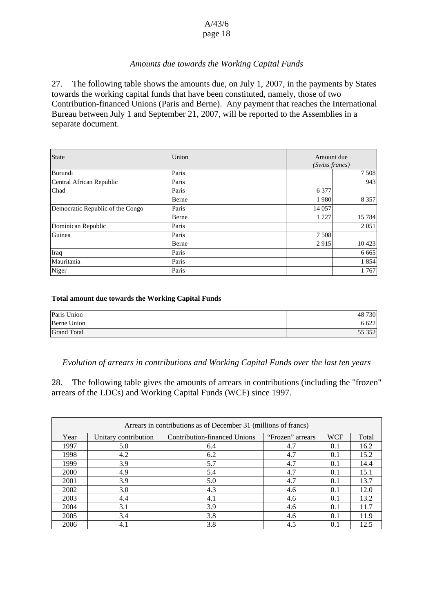### *Amounts due towards the Working Capital Funds*

27. The following table shows the amounts due, on July 1, 2007, in the payments by States towards the working capital funds that have been constituted, namely, those of two Contribution-financed Unions (Paris and Berne). Any payment that reaches the International Bureau between July 1 and September 21, 2007, will be reported to the Assemblies in a separate document.

| <b>State</b>                     | Union | Amount due<br>(Swiss francs) |         |
|----------------------------------|-------|------------------------------|---------|
| Burundi                          | Paris |                              | 7 5 0 8 |
| Central African Republic         | Paris |                              | 943     |
| Chad                             | Paris | 6 3 7 7                      |         |
|                                  | Berne | 1980                         | 8 3 5 7 |
| Democratic Republic of the Congo | Paris | 14 057                       |         |
|                                  | Berne | 1 7 2 7                      | 15 7 84 |
| Dominican Republic               | Paris |                              | 2 0 5 1 |
| Guinea                           | Paris | 7508                         |         |
|                                  | Berne | 2915                         | 10 4 23 |
| Iraq                             | Paris |                              | 6 6 6 5 |
| Mauritania                       | Paris |                              | 1854    |
| Niger                            | Paris |                              | 1767    |

#### **Total amount due towards the Working Capital Funds**

| Paris Union        | 48 730 |
|--------------------|--------|
| Berne Union        | 6 6 22 |
| <b>Grand Total</b> | 55 352 |

#### *Evolution of arrears in contributions and Working Capital Funds over the last ten years*

28. The following table gives the amounts of arrears in contributions (including the "frozen" arrears of the LDCs) and Working Capital Funds (WCF) since 1997.

| Arrears in contributions as of December 31 (millions of francs) |                      |                              |                  |            |       |
|-----------------------------------------------------------------|----------------------|------------------------------|------------------|------------|-------|
| Year                                                            | Unitary contribution | Contribution-financed Unions | "Frozen" arrears | <b>WCF</b> | Total |
| 1997                                                            | 5.0                  | 6.4                          | 4.7              | 0.1        | 16.2  |
| 1998                                                            | 4.2                  | 6.2                          | 4.7              | 0.1        | 15.2  |
| 1999                                                            | 3.9                  | 5.7                          | 4.7              | 0.1        | 14.4  |
| 2000                                                            | 4.9                  | 5.4                          | 4.7              | 0.1        | 15.1  |
| 2001                                                            | 3.9                  | 5.0                          | 4.7              | 0.1        | 13.7  |
| 2002                                                            | 3.0                  | 4.3                          | 4.6              | 0.1        | 12.0  |
| 2003                                                            | 4.4                  | 4.1                          | 4.6              | 0.1        | 13.2  |
| 2004                                                            | 3.1                  | 3.9                          | 4.6              | 0.1        | 11.7  |
| 2005                                                            | 3.4                  | 3.8                          | 4.6              | 0.1        | 11.9  |
| 2006                                                            | 4.1                  | 3.8                          | 4.5              | 0.1        | 12.5  |